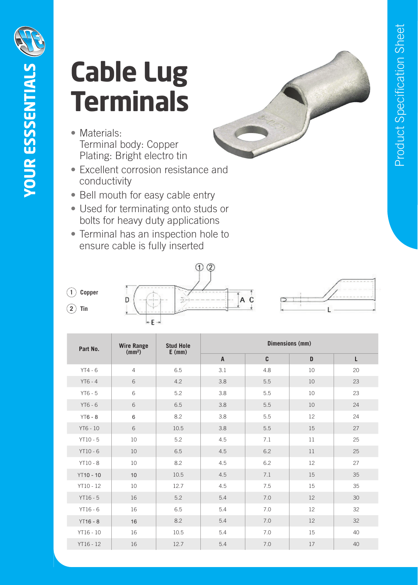

## **Cable Lug Terminals**

- Materials: Terminal body: Copper Plating: Bright electro tin
- Excellent corrosion resistance and conductivity
- Bell mouth for easy cable entry
- Used for terminating onto studs or bolts for heavy duty applications
- Terminal has an inspection hole to ensure cable is fully inserted





| Part No.         | <b>Wire Range</b><br>(mm <sup>2</sup> ) | <b>Stud Hole</b><br>$E$ (mm) | Dimensions (mm) |     |    |    |
|------------------|-----------------------------------------|------------------------------|-----------------|-----|----|----|
|                  |                                         |                              | $\mathsf{A}$    | C   | D  | L  |
| $YT4 - 6$        | $\overline{4}$                          | 6.5                          | 3.1             | 4.8 | 10 | 20 |
| $YT6 - 4$        | 6                                       | 4.2                          | 3.8             | 5.5 | 10 | 23 |
| $YT6 - 5$        | 6                                       | 5.2                          | 3.8             | 5.5 | 10 | 23 |
| $YT6 - 6$        | 6                                       | 6.5                          | 3.8             | 5.5 | 10 | 24 |
| $YT6 - 8$        | 6                                       | 8.2                          | 3.8             | 5.5 | 12 | 24 |
| YT6 - 10         | 6                                       | 10.5                         | 3.8             | 5.5 | 15 | 27 |
| $YT10 - 5$       | 10                                      | 5.2                          | 4.5             | 7.1 | 11 | 25 |
| $YT10 - 6$       | 10                                      | 6.5                          | 4.5             | 6.2 | 11 | 25 |
| $YT10 - 8$       | 10                                      | 8.2                          | 4.5             | 6.2 | 12 | 27 |
| <b>YT10 - 10</b> | 10                                      | 10.5                         | 4.5             | 7.1 | 15 | 35 |
| YT10 - 12        | 10                                      | 12.7                         | 4.5             | 7.5 | 15 | 35 |
| $YT16 - 5$       | 16                                      | 5.2                          | 5.4             | 7.0 | 12 | 30 |
| $YT16 - 6$       | 16                                      | 6.5                          | 5.4             | 7.0 | 12 | 32 |
| $YT16 - 8$       | 16                                      | 8.2                          | 5.4             | 7.0 | 12 | 32 |
| YT16 - 10        | 16                                      | 10.5                         | 5.4             | 7.0 | 15 | 40 |
| YT16 - 12        | 16                                      | 12.7                         | 5.4             | 7.0 | 17 | 40 |

**1 Copper 2 Tin**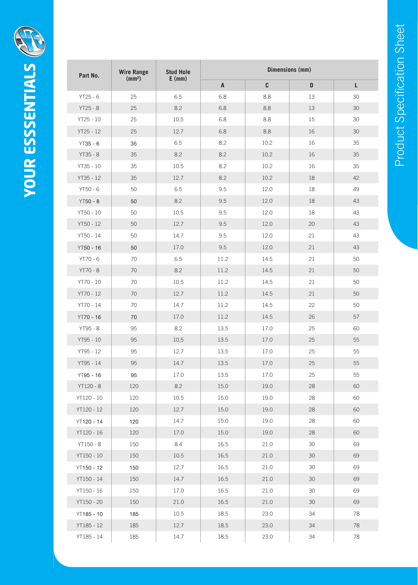| Part No.   | <b>Wire Range</b><br>(mm <sup>2</sup> ) | <b>Stud Hole</b><br>$E$ (mm) | <b>Dimensions (mm)</b> |      |        |    |  |
|------------|-----------------------------------------|------------------------------|------------------------|------|--------|----|--|
|            |                                         |                              | A                      | C    | D      | L  |  |
| $YT25 - 6$ | 25                                      | 6.5                          | 6.8                    | 8.8  | 13     | 30 |  |
| $YT25 - 8$ | 25                                      | 8.2                          | 6.8                    | 8.8  | 13     | 30 |  |
| YT25 - 10  | 25                                      | 10.5                         | 6.8                    | 8.8  | 15     | 30 |  |
| YT25 - 12  | 25                                      | 12.7                         | 6.8                    | 8.8  | 16     | 30 |  |
| $YT35 - 6$ | 35                                      | 6.5                          | 8.2                    | 10.2 | 16     | 35 |  |
| YT35 - 8   | 35                                      | 8.2                          | 8.2                    | 10.2 | 16     | 35 |  |
| YT35 - 10  | 35                                      | 10.5                         | 8.2                    | 10.2 | 16     | 35 |  |
| YT35 - 12  | 35                                      | 12.7                         | 8.2                    | 10.2 | 18     | 42 |  |
| YT50 - 6   | 50                                      | 6.5                          | 9.5                    | 12.0 | 18     | 49 |  |
| $YT50 - 8$ | 50                                      | 8.2                          | 9.5                    | 12.0 | 18     | 43 |  |
| YT50 - 10  | 50                                      | 10.5                         | 9.5                    | 12.0 | 18     | 43 |  |
| YT50 - 12  | 50                                      | 12.7                         | 9.5                    | 12.0 | 20     | 43 |  |
| YT50 - 14  | 50                                      | 14.7                         | 9.5                    | 12.0 | 21     | 43 |  |
| YT50 - 16  | 50                                      | 17.0                         | 9.5                    | 12.0 | 21     | 43 |  |
| YT70 - 6   | 70                                      | 6.5                          | 11.2                   | 14.5 | 21     | 50 |  |
| YT70 - 8   | $70\,$                                  | 8.2                          | 11.2                   | 14.5 | 21     | 50 |  |
| YT70 - 10  | 70                                      | 10.5                         | 11.2                   | 14.5 | 21     | 50 |  |
| YT70 - 12  | 70                                      | 12.7                         | 11.2                   | 14.5 | 21     | 50 |  |
| YT70 - 14  | 70                                      | 14.7                         | 11.2                   | 14.5 | 22     | 50 |  |
| YT70 - 16  | 70                                      | 17.0                         | 11.2                   | 14.5 | 26     | 57 |  |
| YT95 - 8   | 95                                      | 8.2                          | 13.5                   | 17.0 | 25     | 60 |  |
| YT95 - 10  | 95                                      | 10.5                         | 13.5                   | 17.0 | 25     | 55 |  |
| YT95 - 12  | 95                                      | 12.7                         | 13.5                   | 17.0 | 25     | 55 |  |
| YT95 - 14  | 95                                      | 14.7                         | 13.5                   | 17.0 | 25     | 55 |  |
| YT95 - 16  | 95                                      | 17.0                         | 13.5                   | 17.0 | 25     | 55 |  |
| YT120 - 8  | 120                                     | 8.2                          | 15.0                   | 19.0 | 28     | 60 |  |
| YT120 - 10 | 120                                     | 10.5                         | 15.0                   | 19.0 | 28     | 60 |  |
| YT120 - 12 | 120                                     | 12.7                         | 15.0                   | 19.0 | 28     | 60 |  |
| YT120 - 14 | 120                                     | 14.7                         | 15.0                   | 19.0 | 28     | 60 |  |
| YT120 - 16 | 120                                     | 17.0                         | 15.0                   | 19.0 | 28     | 60 |  |
| YT150 - 8  | 150                                     | 8.4                          | 16.5                   | 21.0 | $30\,$ | 69 |  |
| YT150 - 10 | 150                                     | $10.5\,$                     | 16.5                   | 21.0 | 30     | 69 |  |
| YT150 - 12 | 150                                     | 12.7                         | 16.5                   | 21.0 | 30     | 69 |  |
| YT150 - 14 | 150                                     | 14.7                         | 16.5                   | 21.0 | 30     | 69 |  |
| YT150 - 16 | 150                                     | 17.0                         | 16.5                   | 21.0 | 30     | 69 |  |
| YT150 - 20 | 150                                     | 21.0                         | 16.5                   | 21.0 | $30\,$ | 69 |  |
| YT185 - 10 | 185                                     | $10.5\,$                     | 18.5                   | 23.0 | 34     | 78 |  |
| YT185 - 12 | 185                                     | 12.7                         | 18.5                   | 23.0 | 34     | 78 |  |
| YT185 - 14 | 185                                     | 14.7                         | 18.5                   | 23.0 | $34\,$ | 78 |  |